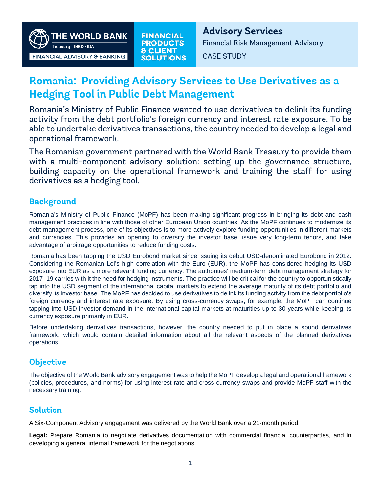

# **Romania: Providing Advisory Services to Use Derivatives as a Hedging Tool in Public Debt Management**

Romania's Ministry of Public Finance wanted to use derivatives to delink its funding activity from the debt portfolio's foreign currency and interest rate exposure. To be able to undertake derivatives transactions, the country needed to develop a legal and operational framework.

The Romanian government partnered with the World Bank Treasury to provide them with a multi-component advisory solution: setting up the governance structure, building capacity on the operational framework and training the staff for using derivatives as a hedging tool.

## **Background**

Romania's Ministry of Public Finance (MoPF) has been making significant progress in bringing its debt and cash management practices in line with those of other European Union countries. As the MoPF continues to modernize its debt management process, one of its objectives is to more actively explore funding opportunities in different markets and currencies. This provides an opening to diversify the investor base, issue very long-term tenors, and take advantage of arbitrage opportunities to reduce funding costs.

Romania has been tapping the USD Eurobond market since issuing its debut USD-denominated Eurobond in 2012. Considering the Romanian Lei's high correlation with the Euro (EUR), the MoPF has considered hedging its USD exposure into EUR as a more relevant funding currency. The authorities' medium-term debt management strategy for 2017–19 carries with it the need for hedging instruments. The practice will be critical for the country to opportunistically tap into the USD segment of the international capital markets to extend the average maturity of its debt portfolio and diversify its investor base. The MoPF has decided to use derivatives to delink its funding activity from the debt portfolio's foreign currency and interest rate exposure. By using cross-currency swaps, for example, the MoPF can continue tapping into USD investor demand in the international capital markets at maturities up to 30 years while keeping its currency exposure primarily in EUR.

Before undertaking derivatives transactions, however, the country needed to put in place a sound derivatives framework, which would contain detailed information about all the relevant aspects of the planned derivatives operations.

# **Objective**

The objective of the World Bank advisory engagement was to help the MoPF develop a legal and operational framework (policies, procedures, and norms) for using interest rate and cross-currency swaps and provide MoPF staff with the necessary training.

# **Solution**

A Six-Component Advisory engagement was delivered by the World Bank over a 21-month period.

**Legal:** Prepare Romania to negotiate derivatives documentation with commercial financial counterparties, and in developing a general internal framework for the negotiations.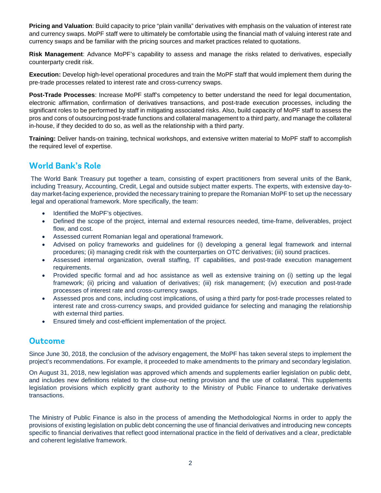**Pricing and Valuation**: Build capacity to price "plain vanilla" derivatives with emphasis on the valuation of interest rate and currency swaps. MoPF staff were to ultimately be comfortable using the financial math of valuing interest rate and currency swaps and be familiar with the pricing sources and market practices related to quotations.

**Risk Management**: Advance MoPF's capability to assess and manage the risks related to derivatives, especially counterparty credit risk.

**Execution:** Develop high-level operational procedures and train the MoPF staff that would implement them during the pre-trade processes related to interest rate and cross-currency swaps.

**Post-Trade Processes**: Increase MoPF staff's competency to better understand the need for legal documentation, electronic affirmation, confirmation of derivatives transactions, and post-trade execution processes, including the significant roles to be performed by staff in mitigating associated risks. Also, build capacity of MoPF staff to assess the pros and cons of outsourcing post-trade functions and collateral management to a third party, and manage the collateral in-house, if they decided to do so, as well as the relationship with a third party.

**Training:** Deliver hands-on training, technical workshops, and extensive written material to MoPF staff to accomplish the required level of expertise.

### **World Bank's Role**

The World Bank Treasury put together a team, consisting of expert practitioners from several units of the Bank, including Treasury, Accounting, Credit, Legal and outside subject matter experts. The experts, with extensive day-today market-facing experience, provided the necessary training to prepare the Romanian MoPF to set up the necessary legal and operational framework. More specifically, the team:

- Identified the MoPF's objectives.
- Defined the scope of the project, internal and external resources needed, time-frame, deliverables, project flow, and cost.
- Assessed current Romanian legal and operational framework.
- Advised on policy frameworks and guidelines for (i) developing a general legal framework and internal procedures; (ii) managing credit risk with the counterparties on OTC derivatives; (iii) sound practices.
- Assessed internal organization, overall staffing, IT capabilities, and post-trade execution management requirements.
- Provided specific formal and ad hoc assistance as well as extensive training on (i) setting up the legal framework; (ii) pricing and valuation of derivatives; (iii) risk management; (iv) execution and post-trade processes of interest rate and cross-currency swaps.
- Assessed pros and cons, including cost implications, of using a third party for post-trade processes related to interest rate and cross-currency swaps, and provided guidance for selecting and managing the relationship with external third parties.
- Ensured timely and cost-efficient implementation of the project.

### **Outcome**

Since June 30, 2018, the conclusion of the advisory engagement, the MoPF has taken several steps to implement the project's recommendations. For example, it proceeded to make amendments to the primary and secondary legislation.

On August 31, 2018, new legislation was approved which amends and supplements earlier legislation on public debt, and includes new definitions related to the close-out netting provision and the use of collateral. This supplements legislation provisions which explicitly grant authority to the Ministry of Public Finance to undertake derivatives transactions.

The Ministry of Public Finance is also in the process of amending the Methodological Norms in order to apply the provisions of existing legislation on public debt concerning the use of financial derivatives and introducing new concepts specific to financial derivatives that reflect good international practice in the field of derivatives and a clear, predictable and coherent legislative framework.